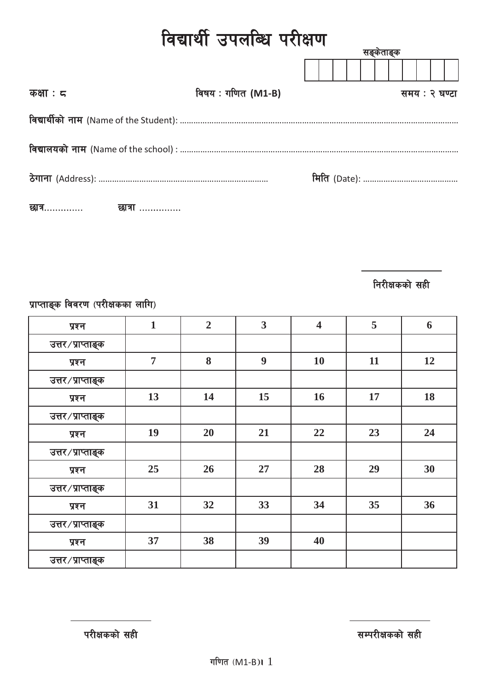| विद्यार्थी उपलब्धि परीक्षण |                    |               |  |  |  |  |  |
|----------------------------|--------------------|---------------|--|--|--|--|--|
|                            |                    | सङ्केताङ्क    |  |  |  |  |  |
| कक्षा : $\pi$              | विषय : गणित (M1-B) | समय : २ घण्टा |  |  |  |  |  |
|                            |                    |               |  |  |  |  |  |
|                            |                    |               |  |  |  |  |  |
|                            |                    |               |  |  |  |  |  |
| छात्र………….<br>छात्रा …………… |                    |               |  |  |  |  |  |

**निरीक्षकको सही** 

प्राप्ताङ्क विवरण (परीक्षकका लागि)

| प्रश्न            | $\mathbf{1}$   | $\overline{2}$ | $\overline{\mathbf{3}}$ | $\overline{\mathbf{4}}$ | 5  | 6  |
|-------------------|----------------|----------------|-------------------------|-------------------------|----|----|
| उत्तर/प्राप्ताङ्क |                |                |                         |                         |    |    |
| प्रश्न            | $\overline{7}$ | 8              | 9                       | 10                      | 11 | 12 |
| उत्तर/प्राप्ताङ्क |                |                |                         |                         |    |    |
| प्रश्न            | 13             | 14             | 15                      | 16                      | 17 | 18 |
| उत्तर/प्राप्ताङ्क |                |                |                         |                         |    |    |
| प्रश्न            | 19             | 20             | 21                      | 22                      | 23 | 24 |
| उत्तर/प्राप्ताङ्क |                |                |                         |                         |    |    |
| प्रश्न            | 25             | 26             | 27                      | 28                      | 29 | 30 |
| उत्तर/प्राप्ताङ्क |                |                |                         |                         |    |    |
| प्रश्न            | 31             | 32             | 33                      | 34                      | 35 | 36 |
| उत्तर/प्राप्ताङ्क |                |                |                         |                         |    |    |
| प्रश्न            | 37             | 38             | 39                      | 40                      |    |    |
| उत्तर/प्राप्ताङ्क |                |                |                         |                         |    |    |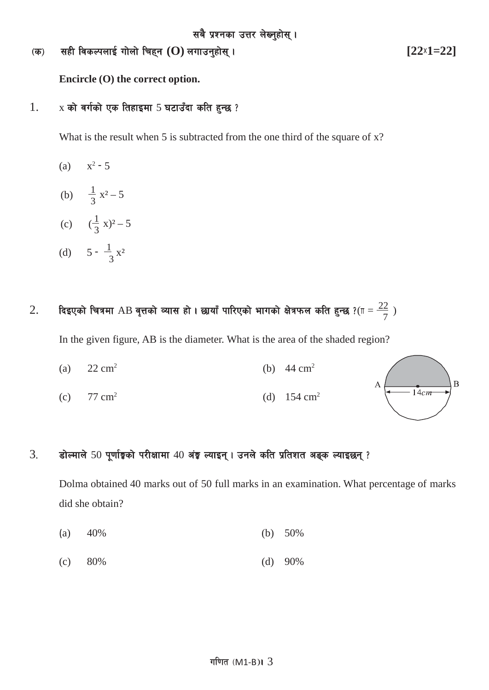-s\_ ;xL ljsNknfO{ uf]nf] lrx\g **(O)** nufpg'xf];\ . **[22**×**1=22]**

**Encircle (O) the correct option.**

### $1.$  x को वर्गको एक तिहाइमा 5 घटाउँदा कति हुन्छ ?

What is the result when 5 is subtracted from the one third of the square of x?

- (a)  $x^2 5$
- (b)  $\frac{1}{3}x^2-5$
- (c)  $(\frac{1}{3}x)^2 5$
- (d)  $5 \frac{1}{3}x^2$

# $2. \quad$  दिइएको चित्रमा  ${\rm AB}$  वृत्तको व्यास हो । छायाँ पारिएको भागको क्षेत्रफल कति हुन्छ ?( $\text{\tiny\rm II}=\frac{22}{7}$  )

In the given figure, AB is the diameter. What is the area of the shaded region?

- (a)  $22 \text{ cm}^2$  (b)  $44 \text{ cm}^2$
- (c)  $77 \text{ cm}^2$  (d)  $154 \text{ cm}^2$

# $3.$  होल्माले 50 पूर्णाङ्को परीक्षामा 40 अंङ्क ल्याइन् । उनले कति प्रतिशत अङ्क ल्याइछन् ?

Dolma obtained 40 marks out of 50 full marks in an examination. What percentage of marks did she obtain?

- (a) 40% (b) 50%
- (c) 80% (d) 90%

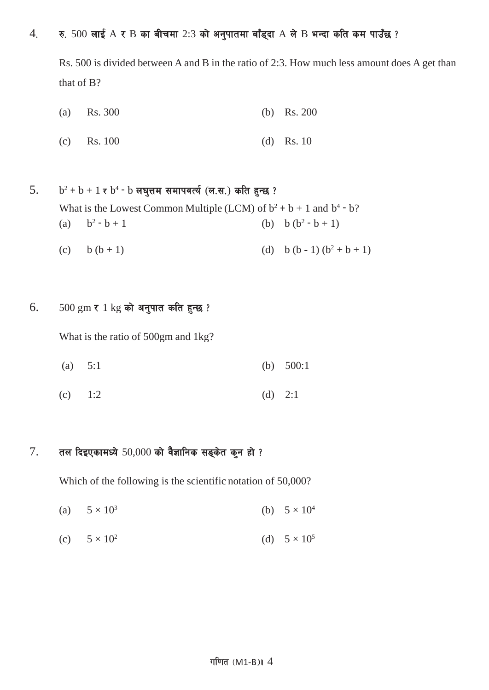### $4.$  र. 500 लाई  $A \times B$  का बीचमा 2:3 को अनुपातमा बाँड्दा  $A$  ले  $B$  भन्दा कति कम पाउँछ ?

Rs. 500 is divided between A and B in the ratio of 2:3. How much less amount does A get than that of B?

- (a) Rs. 300 (b) Rs. 200
- (c) Rs. 100 (d) Rs. 10
- 5.  $b^2 + b + 1 \le b^4 b$  लघुत्तम समापवर्त्य (ल.स.) कति हुन्छ ? What is the Lowest Common Multiple (LCM) of  $b^2 + b + 1$  and  $b^4 - b$ ? (a)  $b^2 - b + 1$  (b)  $b (b^2 - b + 1)$ (c) b  $(b+1)$  (d) b  $(b-1)$   $(b^2+b+1)$
- $6.$  500 gm र 1 kg को अनुपात कति हुन्छ ?

What is the ratio of 500gm and 1kg?

- (a) 5:1 (b) 500:1
- (c)  $1:2$  (d)  $2:1$

### $7.$  तल दिइएकामध्ये 50,000 को वैज्ञानिक सङ्केत कुन हो ?

Which of the following is the scientific notation of 50,000?

- (a)  $5 \times 10^3$  (b)  $5 \times 10^4$
- (c)  $5 \times 10^2$  (d)  $5 \times 10^5$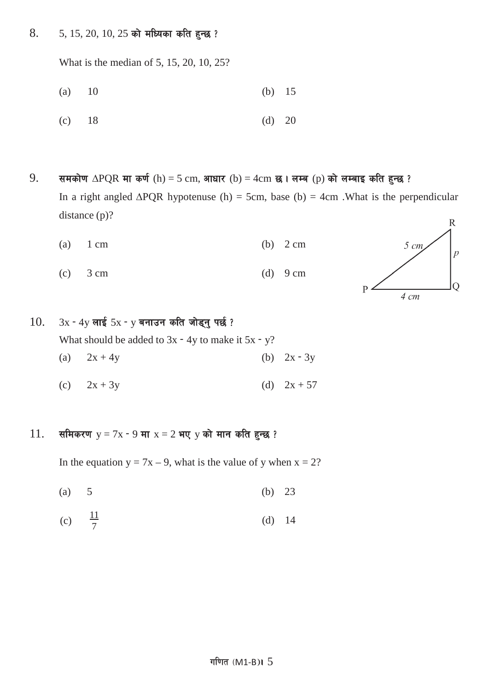$8.$  5, 15, 20, 10, 25 को मध्यिका कति हुन्छ ?

What is the median of 5, 15, 20, 10, 25?

(a) 10 (b) 15

$$
(c) \qquad 18 \qquad \qquad (d) \quad 20
$$

 $9.$  समकोण ∆PQR मा कर्ण (h) = 5 cm, आधार (b) = 4cm छ। लम्ब (p) को लम्बाइ कति हुन्छ ? In a right angled  $\triangle PQR$  hypotenuse (h) = 5cm, base (b) = 4cm .What is the perpendicular distance (p)?

$$
(a) 1 cm \t\t (b) 2 cm
$$

(c)  $3 \text{ cm}$  (d)  $9 \text{ cm}$ 



 $10.$  3x − 4y लाई 5x − y बनाउन कति जोड्नु पर्छ ? What should be added to  $3x - 4y$  to make it  $5x - y$ ? (a)  $2x + 4y$  (b)  $2x - 3y$ 

(c)  $2x + 3y$  (d)  $2x + 57$ 

### $11.$  समिकरण  $y = 7x - 9$  मा  $x = 2$  भए  $y$  को मान कति हुन्छ ?

In the equation  $y = 7x - 9$ , what is the value of y when  $x = 2$ ?

- (a)  $5$  (b)  $23$
- (c)  $\frac{11}{7}$  $\frac{11}{7}$  (d) 14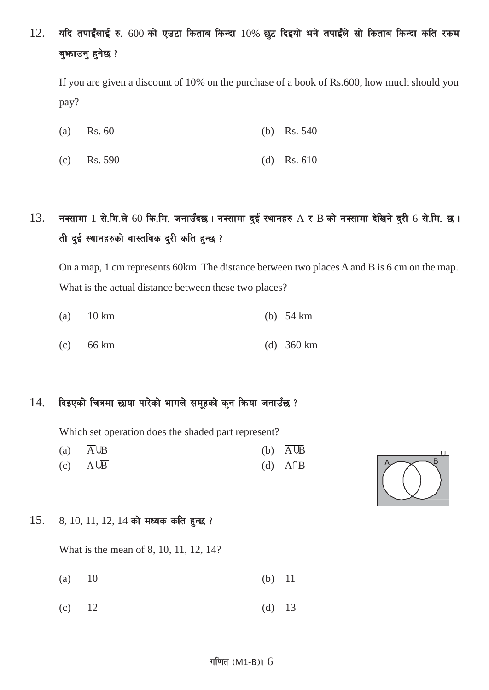# $12.$  यदि तपाईंलाई रु. 600 को एउटा किताब किन्दा  $10%$  छुट दिइयो भने तपाईंले सो किताब किन्दा कति रकम बुभाउनु हुनेछ ?

If you are given a discount of 10% on the purchase of a book of Rs.600, how much should you pay?

- (a) Rs. 60 (b) Rs. 540
- (c) Rs. 590 (d) Rs. 610

# $13.$  नक्सामा  $1$  से.मि.ले 60 कि.मि. जनाउँदछ। नक्सामा दुई स्थानहरु  $A \tau B$  को नक्सामा देखिने दुरी 6 से.मि. छ। ती दुई स्थानहरुको वास्तविक दुरी कति हुन्छ ?

On a map, 1 cm represents 60km. The distance between two places A and B is 6 cm on the map. What is the actual distance between these two places?

- (a) 10 km (b) 54 km
- (c) 66 km (d) 360 km

#### $14.$  दिइएको चित्रमा छाया पारेको भागले समूहको कुन किया जनाउँछ ?

Which set operation does the shaded part represent?

(a) A∪B (b) A∪B (c)  $A\cup \overline{B}$  (d)  $\overline{A\cap B}$ 



#### $15.$   $8, 10, 11, 12, 14$  को मध्यक कति हुन्छ ?

What is the mean of 8, 10, 11, 12, 14?

- (a) 10 (b) 11
- (c)  $12$  (d)  $13$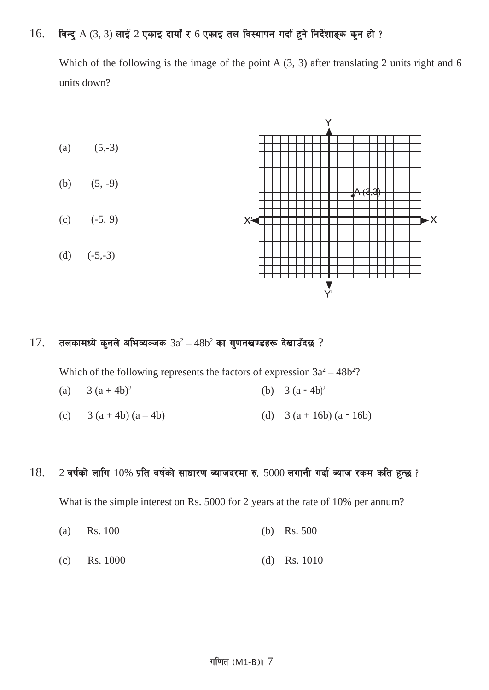## $16.$  विन्दु  $A$   $(3, 3)$  लाई  $2$  एकाइ दायाँ र 6 एकाइ तल विस्थापन गर्दा हुने निर्देशाङ्क कुन हो ?

Which of the following is the image of the point A  $(3, 3)$  after translating 2 units right and 6 units down?



### $17.$  तलकामध्ये कुनले अभिव्यञ्जक  $3a^2 - 48b^2$  का गुणनखण्डहरू देखाउँदछ ?

Which of the following represents the factors of expression  $3a^2 - 48b^2$ ?

- (a)  $3 (a + 4b)^2$  (b)  $3(a-4b)^2$
- (c)  $3 (a + 4b) (a 4b)$  (d)  $3 (a + 16b) (a 16b)$

#### $18.$  2 वर्षको लागि  $10\%$  प्रति वर्षको साधारण ब्याजदरमा रु.  $5000$  लगानी गर्दा ब्याज रकम कति हुन्छ ?

What is the simple interest on Rs. 5000 for 2 years at the rate of 10% per annum?

- (a) Rs. 100 (b) Rs. 500
- (c) Rs. 1000 (d) Rs. 1010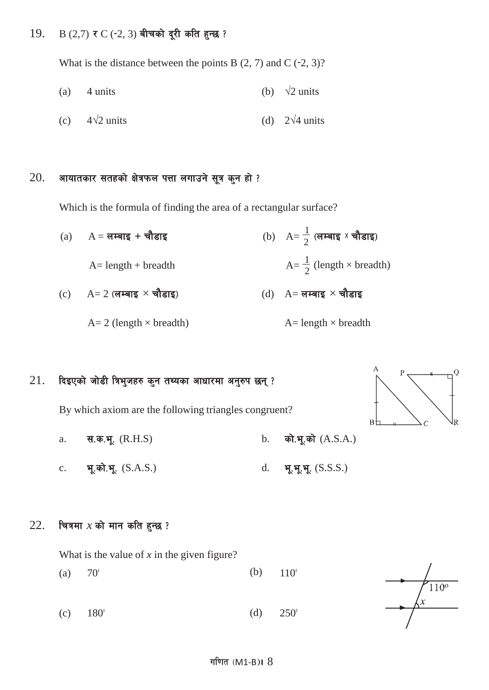### 19. B  $(2,7)$  र C (-2, 3) बीचको दूरी कति हुन्छ ?

What is the distance between the points B  $(2, 7)$  and C  $(-2, 3)$ ?

(a) 4 units  
\n(b) 
$$
\sqrt{2}
$$
 units  
\n(c)  $4\sqrt{2}$  units  
\n(d)  $2\sqrt{4}$  units

## $20.$  आयातकार सतहको क्षेत्रफल पत्ता लगाउने सूत्र कुन हो ?

Which is the formula of finding the area of a rectangular surface?

 $\frac{1}{2}$  (लम्बाइ x चौडाइ)  $(a)$  A = लम्बाइ + चौडाइ  $A=$  length + breadth  $\frac{1}{2}$  (length  $\times$  breadth)  $(c)$  A= 2 (लम्बाइ  $\times$  चौडाइ)  $(d)$  A= लम्बाइ  $\times$  चौडाइ  $A= 2$  (length  $\times$  breadth)  $A=$  length  $\times$  breadth

## $21.$  दिइएको जोडी त्रिभुजहरु कुन तथ्यका आधारमा अनुरुप छन्?

By which axiom are the following triangles congruent?

- a.  $\vec{a} = \vec{a}$ ,  $\vec{a} = \vec{b}$ ,  $\vec{a} = \vec{b}$ ,  $\vec{a} = \vec{b}$ ,  $\vec{a} = \vec{b}$ ,  $\vec{a} = \vec{b}$ ,  $\vec{a} = \vec{b}$ ,  $\vec{a} = \vec{b}$ ,  $\vec{a} = \vec{b}$ ,  $\vec{a} = \vec{b}$ ,  $\vec{a} = \vec{b}$ ,  $\vec{a} = \vec{b}$ ,  $\vec{a} = \vec{b}$ ,  $\vec{a} = \vec{b}$ ,  $\vec{a} = \$
- c. भू.को.भू.  $(S.A.S.)$  d. भू.भू.भू.  $(S.S.S.)$
- $22.$  चित्रमा  $x$  को मान कति हुन्छ ?

What is the value of *x* in the given figure?

(a)  $70^{\circ}$  (b)  $110^{\circ}$ (c)  $180^{\circ}$  (d)  $250^{\circ}$ 

$$
\frac{1}{x}
$$

вŁ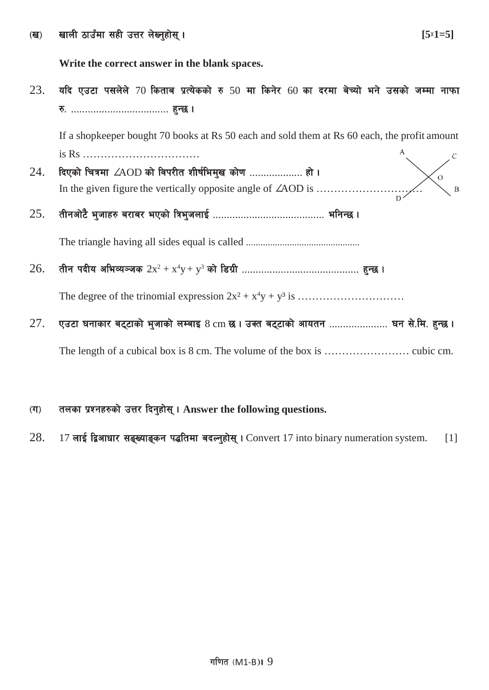Write the correct answer in the blank spaces.

यदि एउटा पसलेले 70 किताब प्रत्येकको रु 50 मा किनेर 60 का दरमा बेच्यो भने उसको जम्मा नाफा 23. 

If a shopkeeper bought 70 books at Rs 50 each and sold them at Rs 60 each, the profit amount 

- दिएको चित्रमा *ZAOD* को विपरीत शीर्षभिमुख कोण ................... हो। 24.  $\overline{O}$ In the given figure the vertically opposite angle of  $\angle AOD$  is ...................  $\overline{B}$
- 25.

26.

एउटा घनाकार बट्टाको भुजाको लम्बाइ 8 cm छ। उक्त बट्टाको आयतन .................... घन से.मि. हुन्छ। 27.

- तलका प्रश्नहरुको उत्तर दिनुहोस् । Answer the following questions.  $(T)$
- 28. 17 लाई द्विआधार सङ्ख्याङ्कन पद्धतिमा बदल्नुहोस् । Convert 17 into binary numeration system.  $\lceil 1 \rceil$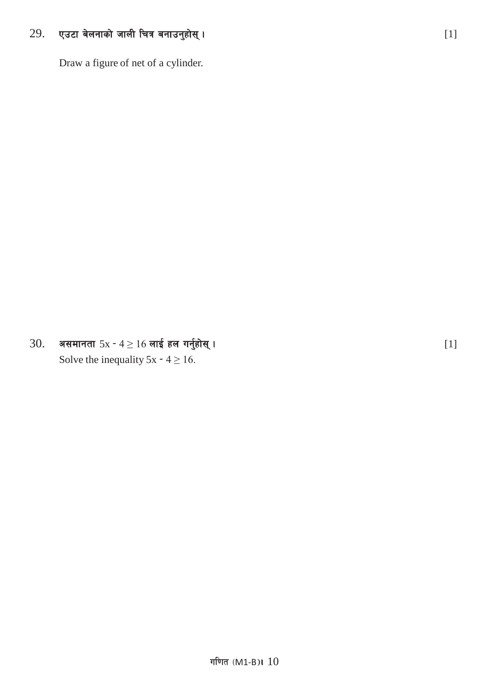#### 29. एउटा बेलनाको जाली चित्र बनाउनुहोस् ।

Draw a figure of net of a cylinder.

असमानता  $5x - 4 \ge 16$  लाई हल गर्नुहोस् । 30. Solve the inequality  $5x - 4 \ge 16$ .

 $[1]$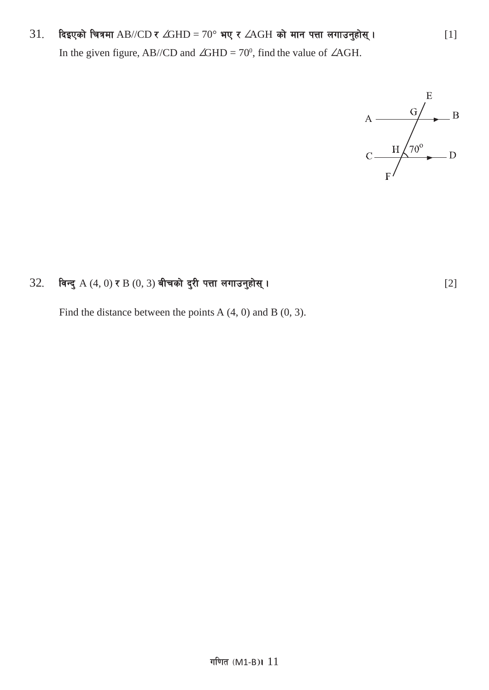# $31.$  दिइएको चित्रमा AB//CD र ∠GHD = 70° भए र ∠AGH को मान पत्ता लगाउनुहोस् ।  $[1]$ In the given figure, AB//CD and  $\angle$ GHD = 70<sup>0</sup>, find the value of  $\angle$ AGH.



### 32= ljGb' A (4, 0) / B (0, 3) aLrsf] b'/L kQf nufpg'xf];\ . [2]

Find the distance between the points A  $(4, 0)$  and B  $(0, 3)$ .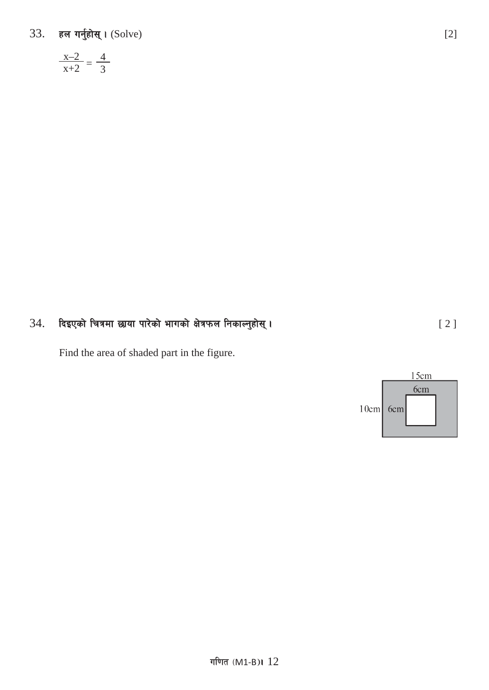33. हल गर्नुहोस् । (Solve)

$$
\frac{x-2}{x+2} = \frac{4}{3}
$$

#### दिइएको चित्रमा छाया पारेको भागको क्षेत्रफल निकाल्नुहोस् । 34.

Find the area of shaded part in the figure.



 $[2]$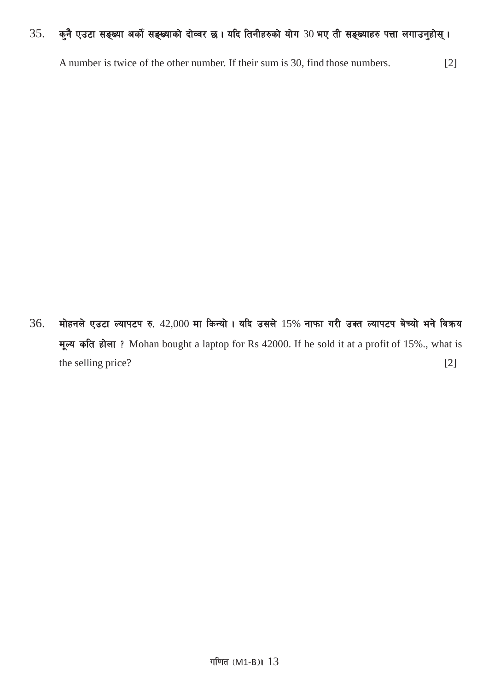#### कुनै एउटा सङ्ख्या अर्को सङ्ख्याको दोव्वर छ। यदि तिनीहरुको योग 30 भए ती सङ्ख्याहरु पत्ता लगाउनुहोस्। 35.

A number is twice of the other number. If their sum is 30, find those numbers.  $[2]$ 

36. मोहनले एउटा ल्यापटप रु. 42,000 मा किन्यो । यदि उसले 15% नाफा गरी उक्त ल्यापटप बेच्यो भने विक्रय मूल्य कति होला? Mohan bought a laptop for Rs 42000. If he sold it at a profit of 15%., what is the selling price?  $[2]$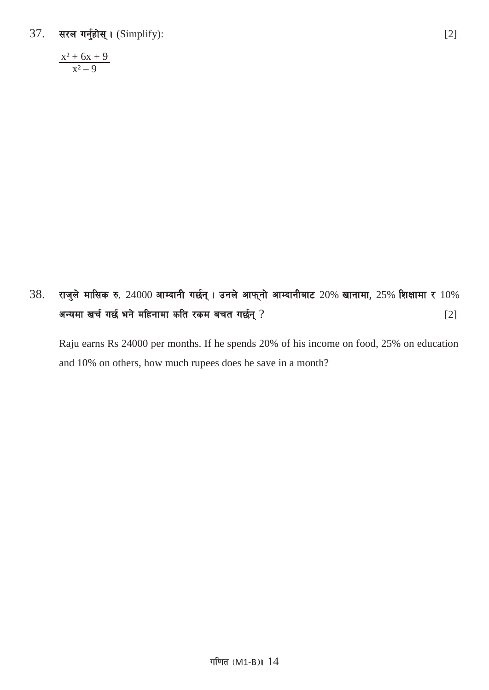$37.$  सरल गर्नुहोस् । (Simplify): [2]

 $x^2 + 6x + 9$  $x^2 - 9$ 

 $38.$  राजुले मासिक रु.  $24000$  आम्दानी गर्छन् । उनले आफ्नो आम्दानीबाट  $20\%$  खानामा,  $25\%$  शिक्षामा र  $10\%$ अन्यमा खर्च गर्छ भने महिनामा कति रकम बचत गर्छन् ? ब्रिंग काला काला कर बाद पर पर स्था कर स्था कर स्था कर स्था क

Raju earns Rs 24000 per months. If he spends 20% of his income on food, 25% on education and 10% on others, how much rupees does he save in a month?